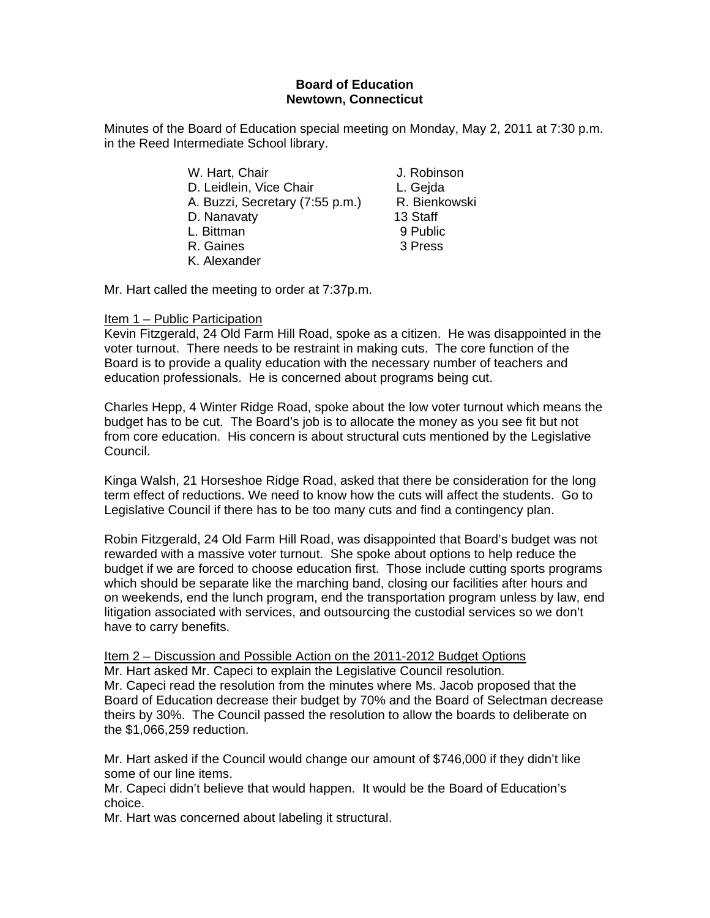## **Board of Education Newtown, Connecticut**

Minutes of the Board of Education special meeting on Monday, May 2, 2011 at 7:30 p.m. in the Reed Intermediate School library.

- W. Hart, Chair **J. Robinson**
- D. Leidlein, Vice Chair **L. Geida**
- A. Buzzi, Secretary (7:55 p.m.) R. Bienkowski
- D. Nanavaty 13 Staff
- L. Bittman 9 Public
- R. Gaines 3 Press
- K. Alexander

Mr. Hart called the meeting to order at 7:37p.m.

## Item 1 – Public Participation

Kevin Fitzgerald, 24 Old Farm Hill Road, spoke as a citizen. He was disappointed in the voter turnout. There needs to be restraint in making cuts. The core function of the Board is to provide a quality education with the necessary number of teachers and education professionals. He is concerned about programs being cut.

Charles Hepp, 4 Winter Ridge Road, spoke about the low voter turnout which means the budget has to be cut. The Board's job is to allocate the money as you see fit but not from core education. His concern is about structural cuts mentioned by the Legislative Council.

Kinga Walsh, 21 Horseshoe Ridge Road, asked that there be consideration for the long term effect of reductions. We need to know how the cuts will affect the students. Go to Legislative Council if there has to be too many cuts and find a contingency plan.

Robin Fitzgerald, 24 Old Farm Hill Road, was disappointed that Board's budget was not rewarded with a massive voter turnout. She spoke about options to help reduce the budget if we are forced to choose education first. Those include cutting sports programs which should be separate like the marching band, closing our facilities after hours and on weekends, end the lunch program, end the transportation program unless by law, end litigation associated with services, and outsourcing the custodial services so we don't have to carry benefits.

Item 2 – Discussion and Possible Action on the 2011-2012 Budget Options Mr. Hart asked Mr. Capeci to explain the Legislative Council resolution. Mr. Capeci read the resolution from the minutes where Ms. Jacob proposed that the Board of Education decrease their budget by 70% and the Board of Selectman decrease theirs by 30%. The Council passed the resolution to allow the boards to deliberate on the \$1,066,259 reduction.

Mr. Hart asked if the Council would change our amount of \$746,000 if they didn't like some of our line items.

Mr. Capeci didn't believe that would happen. It would be the Board of Education's choice.

Mr. Hart was concerned about labeling it structural.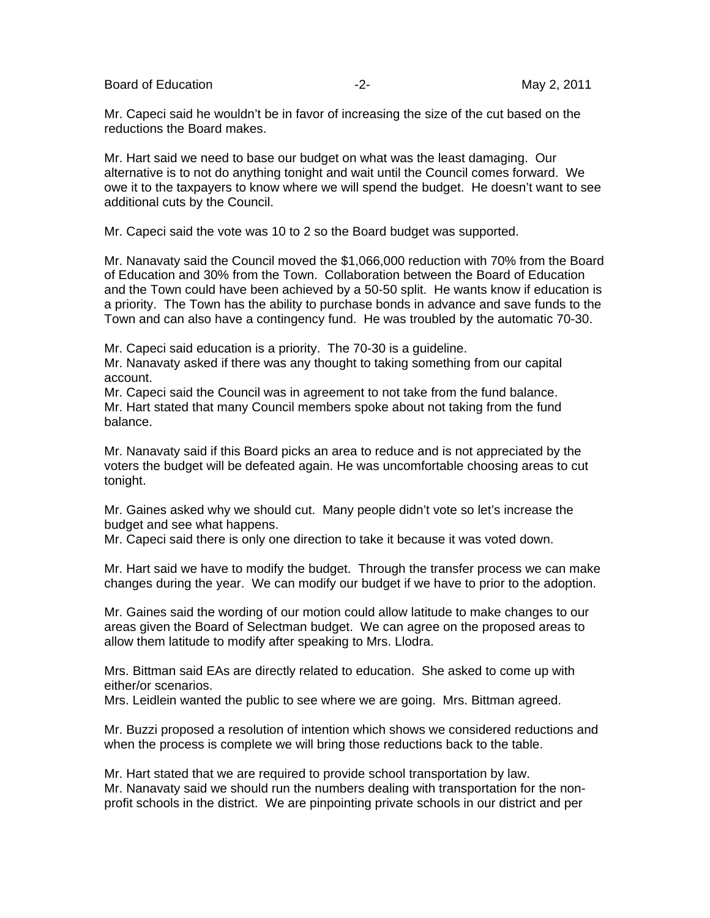Board of Education **-2-** All the second of Education **-2-** All the May 2, 2011

Mr. Capeci said he wouldn't be in favor of increasing the size of the cut based on the reductions the Board makes.

Mr. Hart said we need to base our budget on what was the least damaging. Our alternative is to not do anything tonight and wait until the Council comes forward. We owe it to the taxpayers to know where we will spend the budget. He doesn't want to see additional cuts by the Council.

Mr. Capeci said the vote was 10 to 2 so the Board budget was supported.

Mr. Nanavaty said the Council moved the \$1,066,000 reduction with 70% from the Board of Education and 30% from the Town. Collaboration between the Board of Education and the Town could have been achieved by a 50-50 split. He wants know if education is a priority. The Town has the ability to purchase bonds in advance and save funds to the Town and can also have a contingency fund. He was troubled by the automatic 70-30.

Mr. Capeci said education is a priority. The 70-30 is a guideline.

Mr. Nanavaty asked if there was any thought to taking something from our capital account.

Mr. Capeci said the Council was in agreement to not take from the fund balance. Mr. Hart stated that many Council members spoke about not taking from the fund balance.

Mr. Nanavaty said if this Board picks an area to reduce and is not appreciated by the voters the budget will be defeated again. He was uncomfortable choosing areas to cut tonight.

Mr. Gaines asked why we should cut. Many people didn't vote so let's increase the budget and see what happens.

Mr. Capeci said there is only one direction to take it because it was voted down.

Mr. Hart said we have to modify the budget. Through the transfer process we can make changes during the year. We can modify our budget if we have to prior to the adoption.

Mr. Gaines said the wording of our motion could allow latitude to make changes to our areas given the Board of Selectman budget. We can agree on the proposed areas to allow them latitude to modify after speaking to Mrs. Llodra.

Mrs. Bittman said EAs are directly related to education. She asked to come up with either/or scenarios.

Mrs. Leidlein wanted the public to see where we are going. Mrs. Bittman agreed.

Mr. Buzzi proposed a resolution of intention which shows we considered reductions and when the process is complete we will bring those reductions back to the table.

Mr. Hart stated that we are required to provide school transportation by law. Mr. Nanavaty said we should run the numbers dealing with transportation for the nonprofit schools in the district. We are pinpointing private schools in our district and per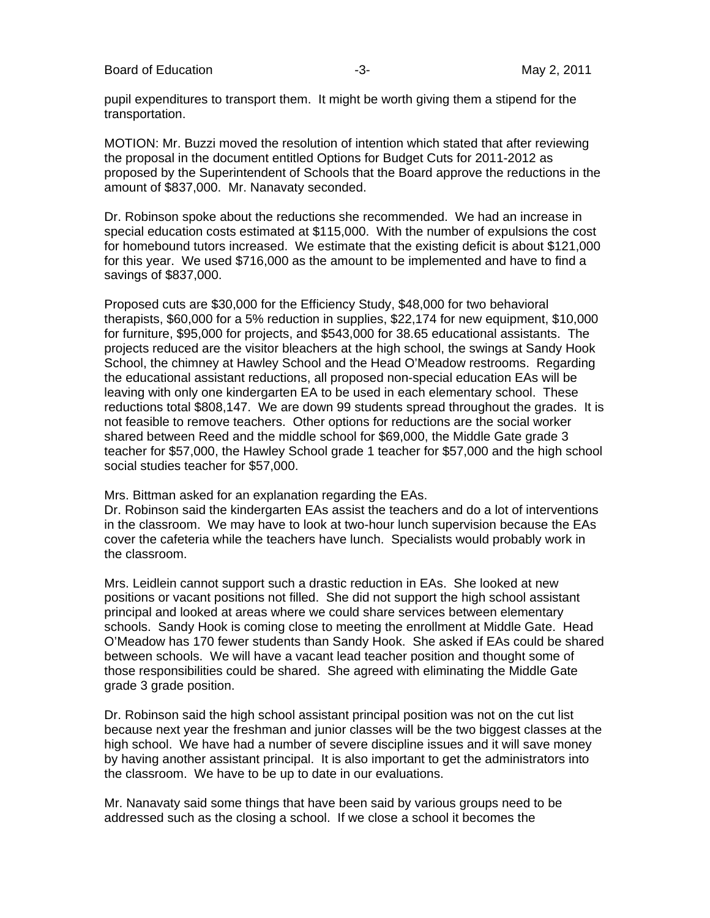Board of Education **Contract Contract Contract Contract Contract Contract Contract Contract Contract Contract Contract Contract Contract Contract Contract Contract Contract Contract Contract Contract Contract Contract Cont** 

pupil expenditures to transport them. It might be worth giving them a stipend for the transportation.

MOTION: Mr. Buzzi moved the resolution of intention which stated that after reviewing the proposal in the document entitled Options for Budget Cuts for 2011-2012 as proposed by the Superintendent of Schools that the Board approve the reductions in the amount of \$837,000. Mr. Nanavaty seconded.

Dr. Robinson spoke about the reductions she recommended. We had an increase in special education costs estimated at \$115,000. With the number of expulsions the cost for homebound tutors increased. We estimate that the existing deficit is about \$121,000 for this year. We used \$716,000 as the amount to be implemented and have to find a savings of \$837,000.

Proposed cuts are \$30,000 for the Efficiency Study, \$48,000 for two behavioral therapists, \$60,000 for a 5% reduction in supplies, \$22,174 for new equipment, \$10,000 for furniture, \$95,000 for projects, and \$543,000 for 38.65 educational assistants. The projects reduced are the visitor bleachers at the high school, the swings at Sandy Hook School, the chimney at Hawley School and the Head O'Meadow restrooms. Regarding the educational assistant reductions, all proposed non-special education EAs will be leaving with only one kindergarten EA to be used in each elementary school. These reductions total \$808,147. We are down 99 students spread throughout the grades. It is not feasible to remove teachers. Other options for reductions are the social worker shared between Reed and the middle school for \$69,000, the Middle Gate grade 3 teacher for \$57,000, the Hawley School grade 1 teacher for \$57,000 and the high school social studies teacher for \$57,000.

Mrs. Bittman asked for an explanation regarding the EAs.

Dr. Robinson said the kindergarten EAs assist the teachers and do a lot of interventions in the classroom. We may have to look at two-hour lunch supervision because the EAs cover the cafeteria while the teachers have lunch. Specialists would probably work in the classroom.

Mrs. Leidlein cannot support such a drastic reduction in EAs. She looked at new positions or vacant positions not filled. She did not support the high school assistant principal and looked at areas where we could share services between elementary schools. Sandy Hook is coming close to meeting the enrollment at Middle Gate. Head O'Meadow has 170 fewer students than Sandy Hook. She asked if EAs could be shared between schools. We will have a vacant lead teacher position and thought some of those responsibilities could be shared. She agreed with eliminating the Middle Gate grade 3 grade position.

Dr. Robinson said the high school assistant principal position was not on the cut list because next year the freshman and junior classes will be the two biggest classes at the high school. We have had a number of severe discipline issues and it will save money by having another assistant principal. It is also important to get the administrators into the classroom. We have to be up to date in our evaluations.

Mr. Nanavaty said some things that have been said by various groups need to be addressed such as the closing a school. If we close a school it becomes the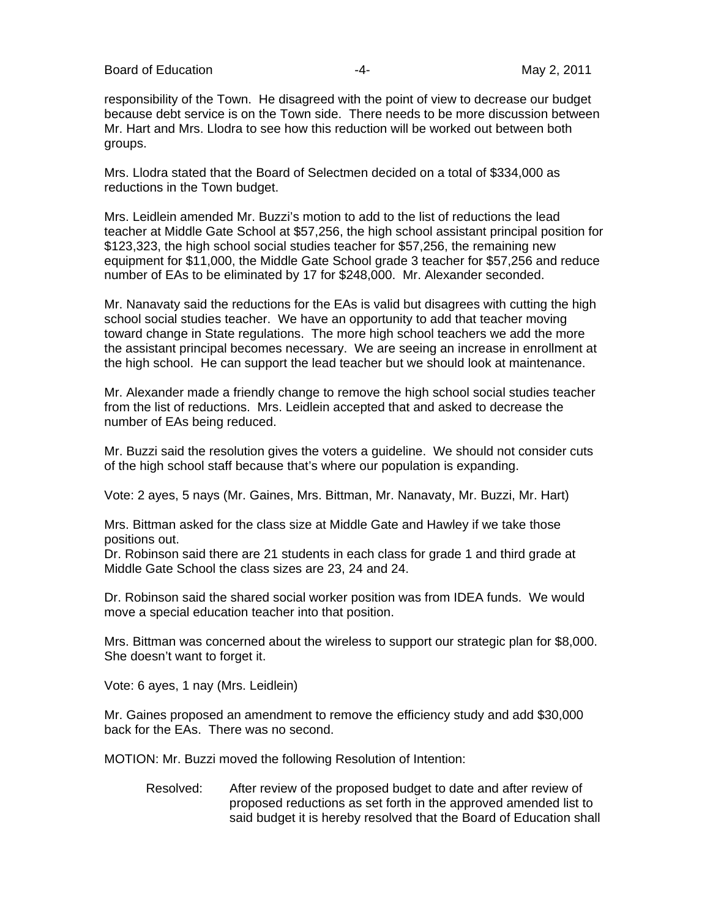Board of Education **Accord Education CONFIDENT ACCORD 14-** May 2, 2011

responsibility of the Town. He disagreed with the point of view to decrease our budget because debt service is on the Town side. There needs to be more discussion between Mr. Hart and Mrs. Llodra to see how this reduction will be worked out between both groups.

Mrs. Llodra stated that the Board of Selectmen decided on a total of \$334,000 as reductions in the Town budget.

Mrs. Leidlein amended Mr. Buzzi's motion to add to the list of reductions the lead teacher at Middle Gate School at \$57,256, the high school assistant principal position for \$123,323, the high school social studies teacher for \$57,256, the remaining new equipment for \$11,000, the Middle Gate School grade 3 teacher for \$57,256 and reduce number of EAs to be eliminated by 17 for \$248,000. Mr. Alexander seconded.

Mr. Nanavaty said the reductions for the EAs is valid but disagrees with cutting the high school social studies teacher. We have an opportunity to add that teacher moving toward change in State regulations. The more high school teachers we add the more the assistant principal becomes necessary. We are seeing an increase in enrollment at the high school. He can support the lead teacher but we should look at maintenance.

Mr. Alexander made a friendly change to remove the high school social studies teacher from the list of reductions. Mrs. Leidlein accepted that and asked to decrease the number of EAs being reduced.

Mr. Buzzi said the resolution gives the voters a guideline. We should not consider cuts of the high school staff because that's where our population is expanding.

Vote: 2 ayes, 5 nays (Mr. Gaines, Mrs. Bittman, Mr. Nanavaty, Mr. Buzzi, Mr. Hart)

Mrs. Bittman asked for the class size at Middle Gate and Hawley if we take those positions out.

Dr. Robinson said there are 21 students in each class for grade 1 and third grade at Middle Gate School the class sizes are 23, 24 and 24.

Dr. Robinson said the shared social worker position was from IDEA funds. We would move a special education teacher into that position.

Mrs. Bittman was concerned about the wireless to support our strategic plan for \$8,000. She doesn't want to forget it.

Vote: 6 ayes, 1 nay (Mrs. Leidlein)

Mr. Gaines proposed an amendment to remove the efficiency study and add \$30,000 back for the EAs. There was no second.

MOTION: Mr. Buzzi moved the following Resolution of Intention:

Resolved: After review of the proposed budget to date and after review of proposed reductions as set forth in the approved amended list to said budget it is hereby resolved that the Board of Education shall